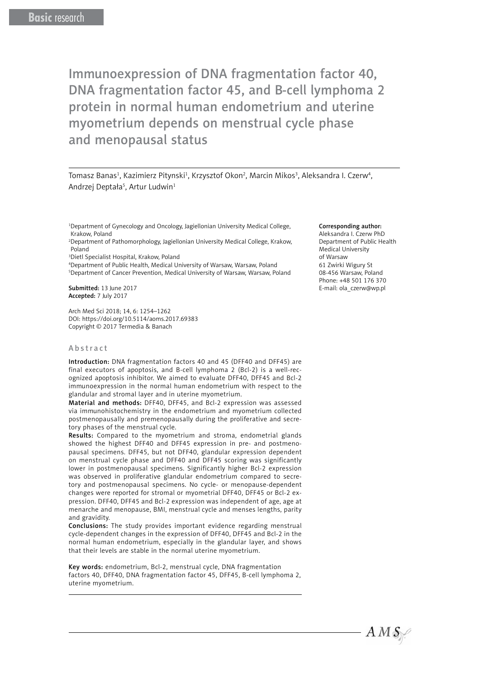Immunoexpression of DNA fragmentation factor 40, DNA fragmentation factor 45, and B-cell lymphoma 2 protein in normal human endometrium and uterine myometrium depends on menstrual cycle phase and menopausal status

Tomasz Banas<sup>1</sup>, Kazimierz Pitynski<sup>1</sup>, Krzysztof Okon<sup>2</sup>, Marcin Mikos<sup>3</sup>, Aleksandra I. Czerw<sup>4</sup>, Andrzej Deptała<sup>5</sup>, Artur Ludwin<sup>1</sup>

1 Department of Gynecology and Oncology, Jagiellonian University Medical College, Krakow, Poland

2 Department of Pathomorphology, Jagiellonian University Medical College, Krakow, Poland

3 Dietl Specialist Hospital, Krakow, Poland

4 Department of Public Health, Medical University of Warsaw, Warsaw, Poland 5 Department of Cancer Prevention, Medical University of Warsaw, Warsaw, Poland

Submitted: 13 June 2017 Accepted: 7 July 2017

Arch Med Sci 2018; 14, 6: 1254–1262 DOI: https://doi.org/10.5114/aoms.2017.69383 Copyright © 2017 Termedia & Banach

### Abstract

Introduction: DNA fragmentation factors 40 and 45 (DFF40 and DFF45) are final executors of apoptosis, and B-cell lymphoma 2 (Bcl-2) is a well-recognized apoptosis inhibitor. We aimed to evaluate DFF40, DFF45 and Bcl-2 immunoexpression in the normal human endometrium with respect to the glandular and stromal layer and in uterine myometrium.

Material and methods: DFF40, DFF45, and Bcl-2 expression was assessed via immunohistochemistry in the endometrium and myometrium collected postmenopausally and premenopausally during the proliferative and secretory phases of the menstrual cycle.

Results: Compared to the myometrium and stroma, endometrial glands showed the highest DFF40 and DFF45 expression in pre- and postmenopausal specimens. DFF45, but not DFF40, glandular expression dependent on menstrual cycle phase and DFF40 and DFF45 scoring was significantly lower in postmenopausal specimens. Significantly higher Bcl-2 expression was observed in proliferative glandular endometrium compared to secretory and postmenopausal specimens. No cycle- or menopause-dependent changes were reported for stromal or myometrial DFF40, DFF45 or Bcl-2 expression. DFF40, DFF45 and Bcl-2 expression was independent of age, age at menarche and menopause, BMI, menstrual cycle and menses lengths, parity and gravidity.

Conclusions: The study provides important evidence regarding menstrual cycle-dependent changes in the expression of DFF40, DFF45 and Bcl-2 in the normal human endometrium, especially in the glandular layer, and shows that their levels are stable in the normal uterine myometrium.

Key words: endometrium, Bcl-2, menstrual cycle, DNA fragmentation factors 40, DFF40, DNA fragmentation factor 45, DFF45, B-cell lymphoma 2, uterine myometrium.

#### Corresponding author:

Aleksandra I. Czerw PhD Department of Public Health Medical University of Warsaw 61 Zwirki Wigury St 08-456 Warsaw, Poland Phone: +48 501 176 370 E-mail: ola\_czerw@wp.pl

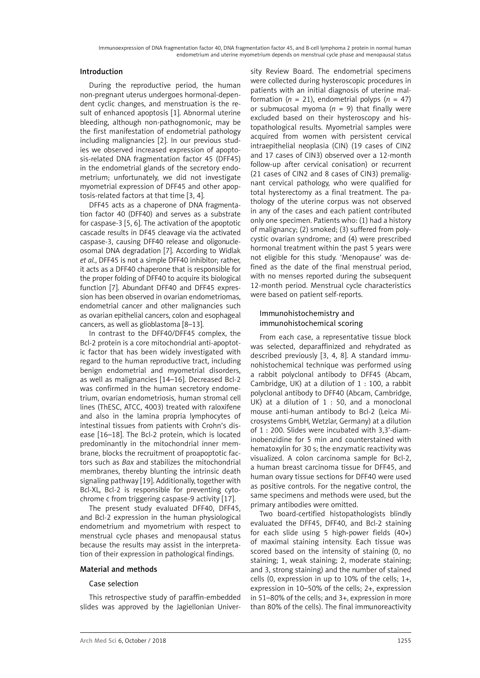### Introduction

During the reproductive period, the human non-pregnant uterus undergoes hormonal-dependent cyclic changes, and menstruation is the result of enhanced apoptosis [1]. Abnormal uterine bleeding, although non-pathognomonic, may be the first manifestation of endometrial pathology including malignancies [2]. In our previous studies we observed increased expression of apoptosis-related DNA fragmentation factor 45 (DFF45) in the endometrial glands of the secretory endometrium; unfortunately, we did not investigate myometrial expression of DFF45 and other apoptosis-related factors at that time [3, 4].

DFF45 acts as a chaperone of DNA fragmentation factor 40 (DFF40) and serves as a substrate for caspase-3 [5, 6]. The activation of the apoptotic cascade results in DF45 cleavage via the activated caspase-3, causing DFF40 release and oligonucleosomal DNA degradation [7]. According to Widlak *et al.*, DFF45 is not a simple DFF40 inhibitor; rather, it acts as a DFF40 chaperone that is responsible for the proper folding of DFF40 to acquire its biological function [7]. Abundant DFF40 and DFF45 expression has been observed in ovarian endometriomas, endometrial cancer and other malignancies such as ovarian epithelial cancers, colon and esophageal cancers, as well as glioblastoma [8–13].

In contrast to the DFF40/DFF45 complex, the Bcl-2 protein is a core mitochondrial anti-apoptotic factor that has been widely investigated with regard to the human reproductive tract, including benign endometrial and myometrial disorders, as well as malignancies [14–16]. Decreased Bcl-2 was confirmed in the human secretory endometrium, ovarian endometriosis, human stromal cell lines (ThESC, ATCC, 4003) treated with raloxifene and also in the lamina propria lymphocytes of intestinal tissues from patients with Crohn's disease [16–18]. The Bcl-2 protein, which is located predominantly in the mitochondrial inner membrane, blocks the recruitment of proapoptotic factors such as *Bax* and stabilizes the mitochondrial membranes, thereby blunting the intrinsic death signaling pathway [19]. Additionally, together with Bcl-XL, Bcl-2 is responsible for preventing cytochrome c from triggering caspase-9 activity [17].

The present study evaluated DFF40, DFF45, and Bcl-2 expression in the human physiological endometrium and myometrium with respect to menstrual cycle phases and menopausal status because the results may assist in the interpretation of their expression in pathological findings.

# Material and methods

### Case selection

This retrospective study of paraffin-embedded slides was approved by the Jagiellonian Univer-

sity Review Board. The endometrial specimens were collected during hysteroscopic procedures in patients with an initial diagnosis of uterine malformation ( $n = 21$ ), endometrial polyps ( $n = 47$ ) or submucosal myoma  $(n = 9)$  that finally were excluded based on their hysteroscopy and histopathological results. Myometrial samples were acquired from women with persistent cervical intraepithelial neoplasia (CIN) (19 cases of CIN2 and 17 cases of CIN3) observed over a 12-month follow-up after cervical conisation) or recurrent (21 cases of CIN2 and 8 cases of CIN3) premalignant cervical pathology, who were qualified for total hysterectomy as a final treatment. The pathology of the uterine corpus was not observed in any of the cases and each patient contributed only one specimen. Patients who: (1) had a history of malignancy; (2) smoked; (3) suffered from polycystic ovarian syndrome; and (4) were prescribed hormonal treatment within the past 5 years were not eligible for this study. 'Menopause' was defined as the date of the final menstrual period, with no menses reported during the subsequent 12-month period. Menstrual cycle characteristics were based on patient self-reports.

## Immunohistochemistry and immunohistochemical scoring

From each case, a representative tissue block was selected, deparaffinized and rehydrated as described previously [3, 4, 8]. A standard immunohistochemical technique was performed using a rabbit polyclonal antibody to DFF45 (Abcam, Cambridge, UK) at a dilution of 1 : 100, a rabbit polyclonal antibody to DFF40 (Abcam, Cambridge, UK) at a dilution of 1 : 50, and a monoclonal mouse anti-human antibody to Bcl-2 (Leica Microsystems GmbH, Wetzlar, Germany) at a dilution of 1 : 200. Slides were incubated with 3,3'-diaminobenzidine for 5 min and counterstained with hematoxylin for 30 s; the enzymatic reactivity was visualized. A colon carcinoma sample for Bcl-2, a human breast carcinoma tissue for DFF45, and human ovary tissue sections for DFF40 were used as positive controls. For the negative control, the same specimens and methods were used, but the primary antibodies were omitted.

Two board-certified histopathologists blindly evaluated the DFF45, DFF40, and Bcl-2 staining for each slide using 5 high-power fields (40×) of maximal staining intensity. Each tissue was scored based on the intensity of staining (0, no staining; 1, weak staining; 2, moderate staining; and 3, strong staining) and the number of stained cells (0, expression in up to 10% of the cells; 1+, expression in 10–50% of the cells; 2+, expression in 51–80% of the cells; and 3+, expression in more than 80% of the cells). The final immunoreactivity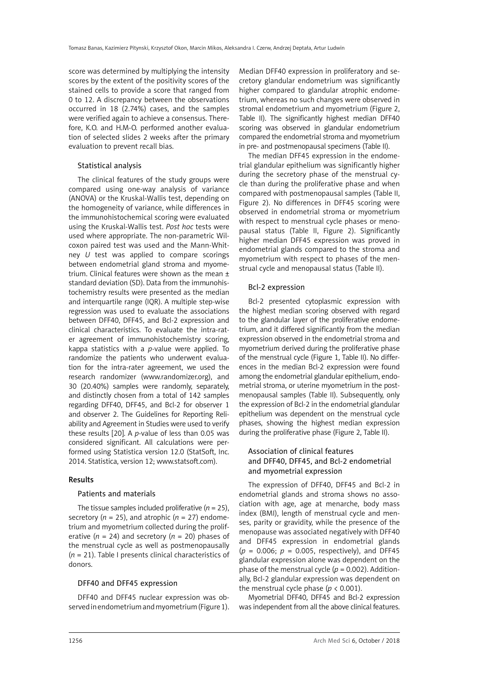score was determined by multiplying the intensity scores by the extent of the positivity scores of the stained cells to provide a score that ranged from 0 to 12. A discrepancy between the observations occurred in 18 (2.74%) cases, and the samples were verified again to achieve a consensus. Therefore, K.O. and H.M-O. performed another evaluation of selected slides 2 weeks after the primary evaluation to prevent recall bias.

# Statistical analysis

The clinical features of the study groups were compared using one-way analysis of variance (ANOVA) or the Kruskal-Wallis test, depending on the homogeneity of variance, while differences in the immunohistochemical scoring were evaluated using the Kruskal-Wallis test. *Post hoc* tests were used where appropriate. The non-parametric Wilcoxon paired test was used and the Mann-Whitney *U* test was applied to compare scorings between endometrial gland stroma and myometrium. Clinical features were shown as the mean ± standard deviation (SD). Data from the immunohistochemistry results were presented as the median and interquartile range (IQR). A multiple step-wise regression was used to evaluate the associations between DFF40, DFF45, and Bcl-2 expression and clinical characteristics. To evaluate the intra-rater agreement of immunohistochemistry scoring, kappa statistics with a *p*-value were applied. To randomize the patients who underwent evaluation for the intra-rater agreement, we used the research randomizer (www.randomizer.org), and 30 (20.40%) samples were randomly, separately, and distinctly chosen from a total of 142 samples regarding DFF40, DFF45, and Bcl-2 for observer 1 and observer 2. The Guidelines for Reporting Reliability and Agreement in Studies were used to verify these results [20]. A *p*-value of less than 0.05 was considered significant. All calculations were performed using Statistica version 12.0 (StatSoft, Inc. 2014. Statistica, version 12; [www.statsoft.com\)](http://www.statsoft.com).

#### Results

### Patients and materials

The tissue samples included proliferative  $(n = 25)$ , secretory ( $n = 25$ ), and atrophic ( $n = 27$ ) endometrium and myometrium collected during the proliferative  $(n = 24)$  and secretory  $(n = 20)$  phases of the menstrual cycle as well as postmenopausally (*n* = 21). Table I presents clinical characteristics of donors.

#### DFF40 and DFF45 expression

DFF40 and DFF45 nuclear expression was observed in endometrium and myometrium (Figure 1). Median DFF40 expression in proliferatory and secretory glandular endometrium was significantly higher compared to glandular atrophic endometrium, whereas no such changes were observed in stromal endometrium and myometrium (Figure 2, Table II). The significantly highest median DFF40 scoring was observed in glandular endometrium compared the endometrial stroma and myometrium in pre- and postmenopausal specimens (Table II).

The median DFF45 expression in the endometrial glandular epithelium was significantly higher during the secretory phase of the menstrual cycle than during the proliferative phase and when compared with postmenopausal samples (Table II, Figure 2). No differences in DFF45 scoring were observed in endometrial stroma or myometrium with respect to menstrual cycle phases or menopausal status (Table II, Figure 2). Significantly higher median DFF45 expression was proved in endometrial glands compared to the stroma and myometrium with respect to phases of the menstrual cycle and menopausal status (Table II).

### Bcl-2 expression

Bcl-2 presented cytoplasmic expression with the highest median scoring observed with regard to the glandular layer of the proliferative endometrium, and it differed significantly from the median expression observed in the endometrial stroma and myometrium derived during the proliferative phase of the menstrual cycle (Figure 1, Table II). No differences in the median Bcl-2 expression were found among the endometrial glandular epithelium, endometrial stroma, or uterine myometrium in the postmenopausal samples (Table II). Subsequently, only the expression of Bcl-2 in the endometrial glandular epithelium was dependent on the menstrual cycle phases, showing the highest median expression during the proliferative phase (Figure 2, Table II).

### Association of clinical features and DFF40, DFF45, and Bcl-2 endometrial and myometrial expression

The expression of DFF40, DFF45 and Bcl-2 in endometrial glands and stroma shows no association with age, age at menarche, body mass index (BMI), length of menstrual cycle and menses, parity or gravidity, while the presence of the menopause was associated negatively with DFF40 and DFF45 expression in endometrial glands (*p* = 0.006; *p* = 0.005, respectively), and DFF45 glandular expression alone was dependent on the phase of the menstrual cycle ( $p = 0.002$ ). Additionally, Bcl-2 glandular expression was dependent on the menstrual cycle phase ( $p < 0.001$ ).

Myometrial DFF40, DFF45 and Bcl-2 expression was independent from all the above clinical features.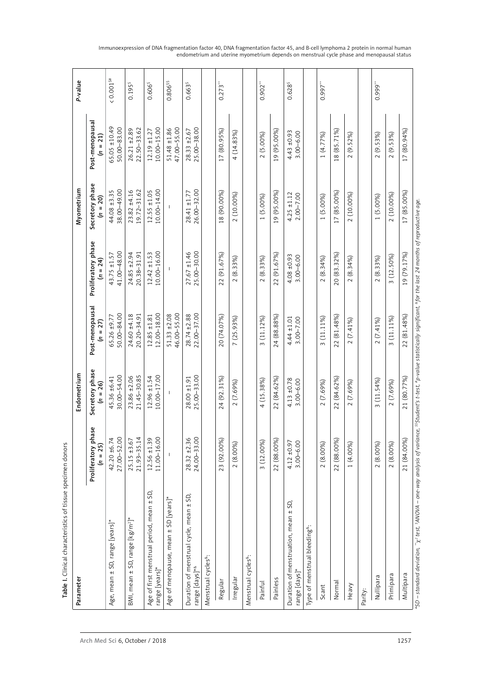| Parameter                                                                                                                                                                                   |                                   | Endometrium                      |                                  |                                   | Myometrium                       |                                 | P-value                |
|---------------------------------------------------------------------------------------------------------------------------------------------------------------------------------------------|-----------------------------------|----------------------------------|----------------------------------|-----------------------------------|----------------------------------|---------------------------------|------------------------|
|                                                                                                                                                                                             | Proliferatory phase<br>$(n = 25)$ | Secretory phase<br>$(n = 26)$    | Post-menopausal<br>$(n = 27)$    | Proliferatory phase<br>$(n = 24)$ | Secretory phase<br>$(n = 20)$    | Post-menopausal<br>$(n = 21)$   |                        |
| Age, mean ± SD, range [years]*                                                                                                                                                              | 27.00-52.00<br>$42.20 \pm 6.74$   | 30.00-54.00<br>45.36 ±6.41       | 50.00-84.00<br>65.26 ±9.77       | 41.00-48.00<br>$43.75 \pm 1.57$   | 38.00-49.00<br>44.08 ±3.35       | 65.05 ±10.49<br>50.00-83.00     | $0.001$ <sup>\$#</sup> |
| BMI, mean ± SD, range [kg/m <sup>2]*</sup>                                                                                                                                                  | 21.93-35.14<br>$25.15 \pm 3.67$   | 21.45-30.85<br>$23.86 + 2.06$    | 20.20-34.91<br>24.60 ±4.18       | 20.38-31.91<br>$24.85 \pm 2.94$   | 19.72-31.62<br>$23.82 \pm 4.16$  | 22.50-33.62<br>$26.21 \pm 2.89$ | $0.195^{5}$            |
| Age of first menstrual period, mean ± SD,<br>range [years]*                                                                                                                                 | 11.00-16.00<br>$12.56 \pm 1.39$   | 10.00-17.00<br>$12.96 \pm 1.54$  | 12.00-18.00<br>$12.85 \pm 1.81$  | 10.00-16.00<br>$12.42 \pm 1.53$   | 10.00-14.00<br>$12.55 \pm 1.05$  | 10.00-15.00<br>$12.19 \pm 1.27$ | 0.606 <sup>5</sup>     |
| Age of menopause, mean ± SD [years]*                                                                                                                                                        |                                   |                                  | 46.00-55.00<br>51.33 ±2.08       |                                   |                                  | 47.00-55.00<br>$51.48 \pm 1.86$ | 0.806 <sup>55</sup>    |
| Duration of menstrual cycle, mean ± SD,<br>range [days] <sup>*&amp;</sup>                                                                                                                   | 24.00-33.00<br>$28.32 \pm 2.36$   | 25.00-33.00<br>$28.00 \pm 1.91$  | 22.00-37.00<br>$28.74 \pm 2.88$  | 25.00-30.00<br>$27.67 + 1.46$     | 26.00-32.00<br>$28.41 \pm 1.77$  | 25.00-38.00<br>$28.33 \pm 2.67$ | 0.663°                 |
| Menstrual cycles <sup>&amp;</sup> :                                                                                                                                                         |                                   |                                  |                                  |                                   |                                  |                                 |                        |
| Regular                                                                                                                                                                                     | 23 (92.00%)                       | 24 (92.31%)                      | 20 (74.07%)                      | 22 (91.67%)                       | 18 (90.00%)                      | 17 (80.95%)                     | $0.273**$              |
| Irregular                                                                                                                                                                                   | 2 (8.00%)                         | 2(7.69%)                         | 7 (25.93%)                       | $2(8.33\%)$                       | 2 (10.00%)                       | 4(14.83%)                       |                        |
| Menstrual cycles <sup>&amp;</sup> :                                                                                                                                                         |                                   |                                  |                                  |                                   |                                  |                                 |                        |
| Painful                                                                                                                                                                                     | 3 (12.00%)                        | 4 (15.38%)                       | 3 (11.12%)                       | $2(8.33\%)$                       | $1(5.00\%)$                      | 2(5.00%)                        | $0.902$ <sup>**</sup>  |
| Painless                                                                                                                                                                                    | 22 (88.00%)                       | 22 (84.62%)                      | 24 (88.88%)                      | 22 (91.67%)                       | 19 (95.00%)                      | 19 (95.00%)                     |                        |
| Duration of menstruation, mean ± SD,<br>range [days]*                                                                                                                                       | $3.00 - 6.00$<br>$4.12 \pm 0.97$  | $4.13 \pm 0.78$<br>$3.00 - 6.00$ | $3.00 - 7.00$<br>$4.44 \pm 1.01$ | $4.08 + 0.93$<br>$3.00 - 6.00$    | $4.25 \pm 1.12$<br>$2.00 - 7.00$ | 4.43 ±0.93<br>$3.00 - 6.00$     | $0.628^{5}$            |
| Type of menstrual bleeding <sup>&amp;</sup>                                                                                                                                                 |                                   |                                  |                                  |                                   |                                  |                                 |                        |
| Scant                                                                                                                                                                                       | 2(8.00%)                          | 2(7.69%)                         | 3 (11.11%)                       | $2(8.34\%)$                       | 1(5.00%)                         | 1(4.77%)                        | $0.997**$              |
| Normal                                                                                                                                                                                      | 22 (88.00%)                       | 22 (84.62%)                      | 22 (81.48%)                      | 20 (83.32%)                       | 17 (85.00%)                      | 18 (85.71%)                     |                        |
| Heavy                                                                                                                                                                                       | 1 (4.00%)                         | 2(7.69%)                         | $2(7.41\%)$                      | $2(8.34\%)$                       | 2 (10.00%)                       | $2(9.52\%)$                     |                        |
| Parity:                                                                                                                                                                                     |                                   |                                  |                                  |                                   |                                  |                                 |                        |
| Nullipara                                                                                                                                                                                   | 2 (8.00%)                         | 3 (11.54%)                       | $2(7.41\%)$                      | 2(8.33%)                          | 1(5.00%)                         | 2(9.53%)                        | $0.999***$             |
| Primipara                                                                                                                                                                                   | 2 (8.00%)                         | 2 (7.69%)                        | 3 (11.11%)                       | 3 (12.50%)                        | 2 (10.00%)                       | 2(9.53%)                        |                        |
| Multipara                                                                                                                                                                                   | 21 (84.00%)                       | 21 (80.77%)                      | 22 (81.48%)                      | 19 (79.17%)                       | 17 (85.00%)                      | 17 (80.94%)                     |                        |
| *SD – standard deviation, "x? test, *ANOVA – one-way analysis of variance. <sup>ss</sup> Student's t-test, *p-value statistically significant, *for the last 24 months of reproductive age. |                                   |                                  |                                  |                                   |                                  |                                 |                        |

Immunoexpression of DNA fragmentation factor 40, DNA fragmentation factor 45, and B-cell lymphoma 2 protein in normal human endometrium and uterine myometrium depends on menstrual cycle phase and menopausal status

Table I. Clinical characteristics of tissue specimen donors

Table I. Clinical characteristics of tissue specimen donors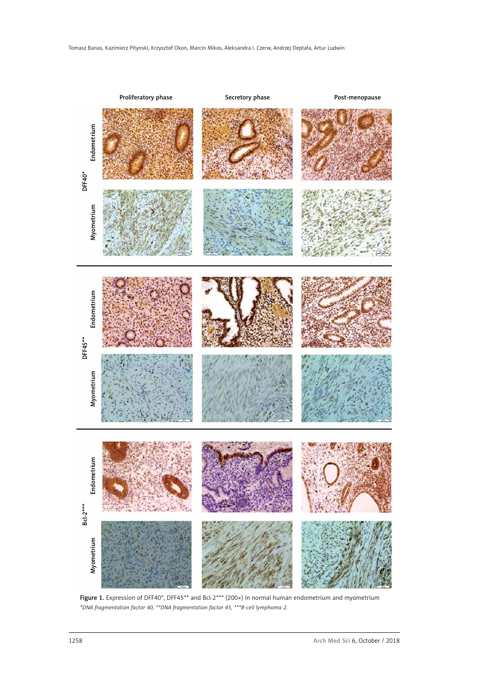

Figure 1. Expression of DFF40\*, DFF45\*\* and Bcl-2\*\*\* (200×) in normal human endometrium and myometrium *\*DNA fragmentation factor 40, \*\*DNA fragmentation factor 45, \*\*\*B-cell lymphoma 2.*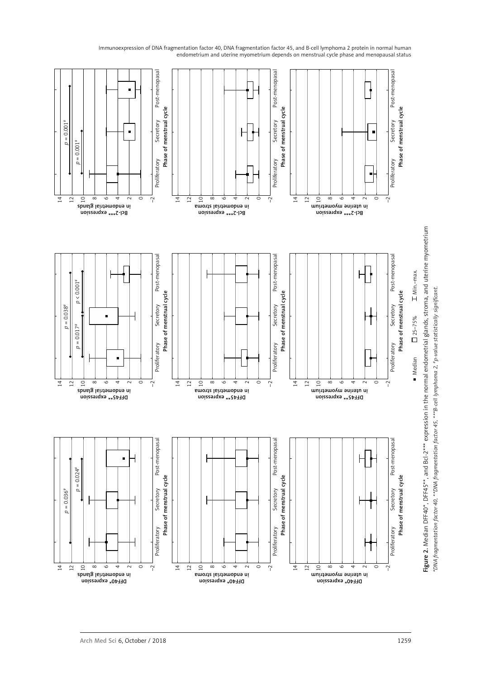

DFF40\* expression in endometrial stroma

14 12  $\overline{10}$  $^{\circ}$ 6 4 $\sim$  $\circ$  $\overline{2}$ 



DFF40\* expression in endometrial glands

14 12  $\frac{1}{\sqrt{2}}$  $^{\circ}$ 6  $\overline{4}$  $\sim$  $\circ$  $\frac{1}{2}$ 

DFF40\* expression in uterine myometrium

 $\frac{1}{4}$  $\overline{12}$  $\overline{9}$  $^{\circ}$ 64 $\overline{\sim}$ —<br>०  $\bar{v}$ 

Immunoexpression of DNA fragmentation factor 40, DNA fragmentation factor 45, and B-cell lymphoma 2 protein in normal human endometrium and uterine myometrium depends on menstrual cycle phase and menopausal status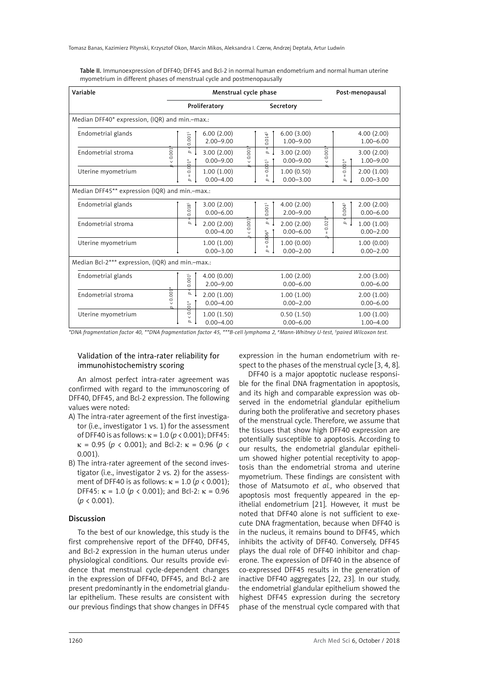| Variable                                         | Menstrual cycle phase                                 |                             |       |                                |                             |                                                         | Post-menopausal                                   |  |
|--------------------------------------------------|-------------------------------------------------------|-----------------------------|-------|--------------------------------|-----------------------------|---------------------------------------------------------|---------------------------------------------------|--|
|                                                  |                                                       | Proliferatory               |       | Secretory                      |                             |                                                         |                                                   |  |
| Median DFF40* expression, (IQR) and min.-max.:   |                                                       |                             |       |                                |                             |                                                         |                                                   |  |
| Endometrial glands                               | 0.001 <sup>5</sup>                                    | 6.00(2.00)<br>$2.00 - 9.00$ |       | $0.014^{5}$                    | 6.00(3.00)<br>$1.00 - 9.00$ |                                                         | 4.00(2.00)<br>$1.00 - 6.00$                       |  |
| Endometrial stroma                               | 0.001<br>đ                                            | 3.00(2.00)<br>$0.00 - 9.00$ | 0.001 | σ<br>$0.001$ <sup>s</sup>      | 3.00(2.00)<br>$0.00 - 9.00$ | $0.001$ <sup><math>\dagger</math></sup><br>$\checkmark$ | 3.00(2.00)<br>$1.00 - 9.00$                       |  |
| Uterine myometrium                               | $0.001*$<br>Ш<br>a.                                   | 1.00(1.00)<br>$0.00 - 4.00$ |       | $\mathbf{H}$<br>$\overline{a}$ | 1.00(0.50)<br>$0.00 - 3.00$ |                                                         | $0.001*$<br>2.00(1.00)<br>Ш<br>$0.00 - 3.00$<br>a |  |
| Median DFF45** expression (IQR) and min.-max.:   |                                                       |                             |       |                                |                             |                                                         |                                                   |  |
| Endometrial glands                               | $0.018^{5}$                                           | 3.00(2.00)<br>$0.00 - 6.00$ |       | 0.001 <sup>5</sup>             | 4.00(2.00)<br>$2.00 - 9.00$ |                                                         | 2.00(2.00)<br>$0.004^{5}$<br>$0.00 - 6.00$        |  |
| Endometrial stroma                               | p                                                     | 2.00(2.00)<br>$0.00 - 4.00$ | 0.001 | d<br>$0.006*$                  | 2.00(2.00)<br>$0.00 - 6.00$ | 0.021<br>$\mathbf{H}$                                   | $\mathcal{Q}$<br>1.00(1.00)<br>$0.00 - 2.00$      |  |
| Uterine myometrium                               |                                                       | 1.00(1.00)<br>$0.00 - 3.00$ |       | $\mathbf{H}$<br>ا ہ            | 1.00(0.00)<br>$0.00 - 2.00$ |                                                         | 1.00(0.00)<br>$0.00 - 2.00$                       |  |
| Median Bcl-2*** expression, (IQR) and min.-max.: |                                                       |                             |       |                                |                             |                                                         |                                                   |  |
| Endometrial glands                               | 0.001 <sup>5</sup>                                    | 4.00(0.00)<br>$2.00 - 9.00$ |       |                                | 1.00(2.00)<br>$0.00 - 6.00$ |                                                         | 2.00(3.00)<br>$0.00 - 6.00$                       |  |
| Endometrial stroma                               | $0.001$ <sup><math>\ast</math></sup><br>$\mathcal{Q}$ | 2.00(1.00)<br>$0.00 - 4.00$ |       |                                | 1.00(1.00)<br>$0.00 - 2.00$ |                                                         | 2.00(1.00)<br>$0.00 - 6.00$                       |  |
| Uterine myometrium                               | $0.001*$<br>d                                         | 1.00(1.50)<br>$0.00 - 4.00$ |       |                                | 0.50(1.50)<br>$0.00 - 6.00$ |                                                         | 1.00(1.00)<br>$1.00 - 4.00$                       |  |

Table II. Immunoexpression of DFF40; DFF45 and Bcl-2 in normal human endometrium and normal human uterine myometrium in different phases of menstrual cycle and postmenopausally

*\*DNA fragmentation factor 40, \*\*DNA fragmentation factor 45, \*\*\*B-cell lymphoma 2, #Mann-Whitney U-test, \$ paired Wilcoxon test.*

## Validation of the intra-rater reliability for immunohistochemistry scoring

An almost perfect intra-rater agreement was confirmed with regard to the immunoscoring of DFF40, DFF45, and Bcl-2 expression. The following values were noted:

- A) The intra-rater agreement of the first investigator (i.e., investigator 1 vs. 1) for the assessment of DFF40 is as follows:  $\kappa = 1.0$  ( $p < 0.001$ ); DFF45:  $\kappa$  = 0.95 ( $p \lt 0.001$ ); and Bcl-2:  $\kappa$  = 0.96 ( $p \lt 0.001$ ) 0.001).
- B) The intra-rater agreement of the second investigator (i.e., investigator 2 vs. 2) for the assessment of DFF40 is as follows:  $\kappa = 1.0$  ( $p < 0.001$ ); DFF45:  $\kappa = 1.0$  ( $p < 0.001$ ); and Bcl-2:  $\kappa = 0.96$  $(p < 0.001)$ .

### Discussion

To the best of our knowledge, this study is the first comprehensive report of the DFF40, DFF45, and Bcl-2 expression in the human uterus under physiological conditions. Our results provide evidence that menstrual cycle-dependent changes in the expression of DFF40, DFF45, and Bcl-2 are present predominantly in the endometrial glandular epithelium. These results are consistent with our previous findings that show changes in DFF45 expression in the human endometrium with respect to the phases of the menstrual cycle [3, 4, 8].

DFF40 is a major apoptotic nuclease responsible for the final DNA fragmentation in apoptosis, and its high and comparable expression was observed in the endometrial glandular epithelium during both the proliferative and secretory phases of the menstrual cycle. Therefore, we assume that the tissues that show high DFF40 expression are potentially susceptible to apoptosis. According to our results, the endometrial glandular epithelium showed higher potential receptivity to apoptosis than the endometrial stroma and uterine myometrium. These findings are consistent with those of Matsumoto *et al.*, who observed that apoptosis most frequently appeared in the epithelial endometrium [21]. However, it must be noted that DFF40 alone is not sufficient to execute DNA fragmentation, because when DFF40 is in the nucleus, it remains bound to DFF45, which inhibits the activity of DFF40. Conversely, DFF45 plays the dual role of DFF40 inhibitor and chaperone. The expression of DFF40 in the absence of co-expressed DFF45 results in the generation of inactive DFF40 aggregates [22, 23]. In our study, the endometrial glandular epithelium showed the highest DFF45 expression during the secretory phase of the menstrual cycle compared with that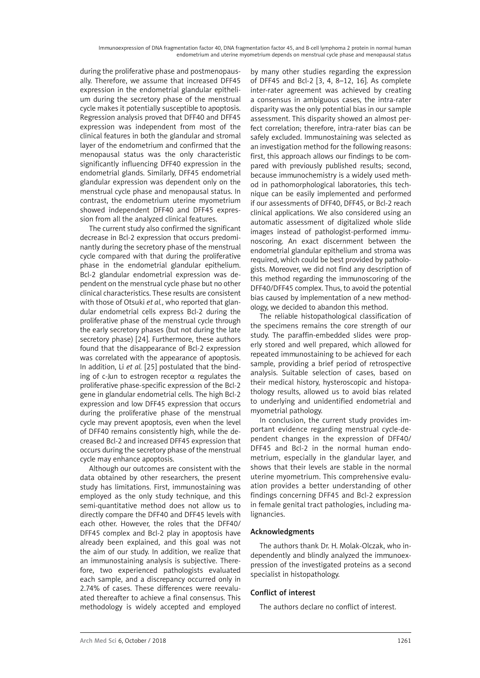during the proliferative phase and postmenopausally. Therefore, we assume that increased DFF45 expression in the endometrial glandular epithelium during the secretory phase of the menstrual cycle makes it potentially susceptible to apoptosis. Regression analysis proved that DFF40 and DFF45 expression was independent from most of the clinical features in both the glandular and stromal layer of the endometrium and confirmed that the menopausal status was the only characteristic significantly influencing DFF40 expression in the endometrial glands. Similarly, DFF45 endometrial glandular expression was dependent only on the menstrual cycle phase and menopausal status. In contrast, the endometrium uterine myometrium showed independent DFF40 and DFF45 expression from all the analyzed clinical features.

The current study also confirmed the significant decrease in Bcl-2 expression that occurs predominantly during the secretory phase of the menstrual cycle compared with that during the proliferative phase in the endometrial glandular epithelium. Bcl-2 glandular endometrial expression was dependent on the menstrual cycle phase but no other clinical characteristics. These results are consistent with those of Otsuki *et al.*, who reported that glandular endometrial cells express Bcl-2 during the proliferative phase of the menstrual cycle through the early secretory phases (but not during the late secretory phase) [24]. Furthermore, these authors found that the disappearance of Bcl-2 expression was correlated with the appearance of apoptosis. In addition, Li *et al.* [25] postulated that the binding of c-Jun to estrogen receptor  $\alpha$  regulates the proliferative phase-specific expression of the Bcl-2 gene in glandular endometrial cells. The high Bcl-2 expression and low DFF45 expression that occurs during the proliferative phase of the menstrual cycle may prevent apoptosis, even when the level of DFF40 remains consistently high, while the decreased Bcl-2 and increased DFF45 expression that occurs during the secretory phase of the menstrual cycle may enhance apoptosis.

Although our outcomes are consistent with the data obtained by other researchers, the present study has limitations. First, immunostaining was employed as the only study technique, and this semi-quantitative method does not allow us to directly compare the DFF40 and DFF45 levels with each other. However, the roles that the DFF40/ DFF45 complex and Bcl-2 play in apoptosis have already been explained, and this goal was not the aim of our study. In addition, we realize that an immunostaining analysis is subjective. Therefore, two experienced pathologists evaluated each sample, and a discrepancy occurred only in 2.74% of cases. These differences were reevaluated thereafter to achieve a final consensus. This methodology is widely accepted and employed

by many other studies regarding the expression of DFF45 and Bcl-2 [3, 4, 8–12, 16]. As complete inter-rater agreement was achieved by creating a consensus in ambiguous cases, the intra-rater disparity was the only potential bias in our sample assessment. This disparity showed an almost perfect correlation; therefore, intra-rater bias can be safely excluded. Immunostaining was selected as an investigation method for the following reasons: first, this approach allows our findings to be compared with previously published results; second, because immunochemistry is a widely used method in pathomorphological laboratories, this technique can be easily implemented and performed if our assessments of DFF40, DFF45, or Bcl-2 reach clinical applications. We also considered using an automatic assessment of digitalized whole slide images instead of pathologist-performed immunoscoring. An exact discernment between the endometrial glandular epithelium and stroma was required, which could be best provided by pathologists. Moreover, we did not find any description of this method regarding the immunoscoring of the DFF40/DFF45 complex. Thus, to avoid the potential bias caused by implementation of a new methodology, we decided to abandon this method.

The reliable histopathological classification of the specimens remains the core strength of our study. The paraffin-embedded slides were properly stored and well prepared, which allowed for repeated immunostaining to be achieved for each sample, providing a brief period of retrospective analysis. Suitable selection of cases, based on their medical history, hysteroscopic and histopathology results, allowed us to avoid bias related to underlying and unidentified endometrial and myometrial pathology.

In conclusion, the current study provides important evidence regarding menstrual cycle-dependent changes in the expression of DFF40/ DFF45 and Bcl-2 in the normal human endometrium, especially in the glandular layer, and shows that their levels are stable in the normal uterine myometrium. This comprehensive evaluation provides a better understanding of other findings concerning DFF45 and Bcl-2 expression in female genital tract pathologies, including malignancies.

# Acknowledgments

The authors thank Dr. H. Molak-Olczak, who independently and blindly analyzed the immunoexpression of the investigated proteins as a second specialist in histopathology.

# Conflict of interest

The authors declare no conflict of interest.